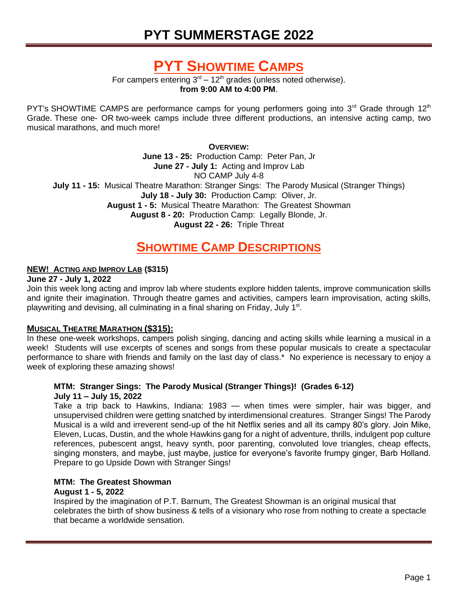# **PYT SUMMERSTAGE 2022**

# **PYT SHOWTIME CAMPS**

For campers entering  $3<sup>rd</sup> - 12<sup>th</sup>$  grades (unless noted otherwise). **from 9:00 AM to 4:00 PM**.

PYT's [SHOWTIME CAMPS](http://www.123pyt.org/SummerStage/shows.aspx) are performance camps for young performers going into  $3<sup>rd</sup>$  Grade through 12<sup>th</sup> Grade. These one- OR two-week camps include three different productions, an intensive acting camp, two musical marathons, and much more!

**OVERVIEW:**

**June 13 - 25:** Production Camp: *Peter Pan, Jr* **June 27 - July 1:** Acting and Improv Lab NO CAMP July 4-8 **July 11 - 15:** Musical Theatre Marathon: *Stranger Sings: The Parody Musical (Stranger Things)* **July 18 - July 30:** Production Camp: *Oliver, Jr.* **August 1 - 5:** Musical Theatre Marathon: *The Greatest Showman* **August 8 - 20:** Production Camp: *Legally Blonde, Jr.* **August 22 - 26:** Triple Threat

# **SHOWTIME CAMP DESCRIPTIONS**

# **NEW! ACTING AND IMPROV LAB (\$315)**

#### **June 27 - July 1, 2022**

Join this week long acting and improv lab where students explore hidden talents, improve communication skills and ignite their imagination. Through theatre games and activities, campers learn improvisation, acting skills, playwriting and devising, all culminating in a final sharing on Friday, July 1<sup>st</sup>.

# **MUSICAL THEATRE MARATHON (\$315):**

In these one-week workshops, campers polish singing, dancing and acting skills while learning a musical in a week! Students will use excerpts of scenes and songs from these popular musicals to create a spectacular performance to share with friends and family on the last day of class.\* No experience is necessary to enjoy a week of exploring these amazing shows!

### **MTM***: Stranger Sings: The Parody Musical (Stranger Things)!* **(Grades 6-12) July 11 – July 15, 2022**

Take a trip back to Hawkins, Indiana: 1983 — when times were simpler, hair was bigger, and unsupervised children were getting snatched by interdimensional creatures. *Stranger Sings! The Parody Musical* is a wild and irreverent send-up of the hit Netflix series and all its campy 80's glory. Join Mike, Eleven, Lucas, Dustin, and the whole Hawkins gang for a night of adventure, thrills, indulgent pop culture references, pubescent angst, heavy synth, poor parenting, convoluted love triangles, cheap effects, singing monsters, and maybe, just maybe, justice for everyone's favorite frumpy ginger, Barb Holland. Prepare to go Upside Down with *Stranger Sings!*

# **MTM:** *The Greatest Showman*

#### **August 1 - 5, 2022**

Inspired by the imagination of P.T. Barnum, *The Greatest Showman* is an original musical that celebrates the birth of show business & tells of a visionary who rose from nothing to create a spectacle that became a worldwide sensation.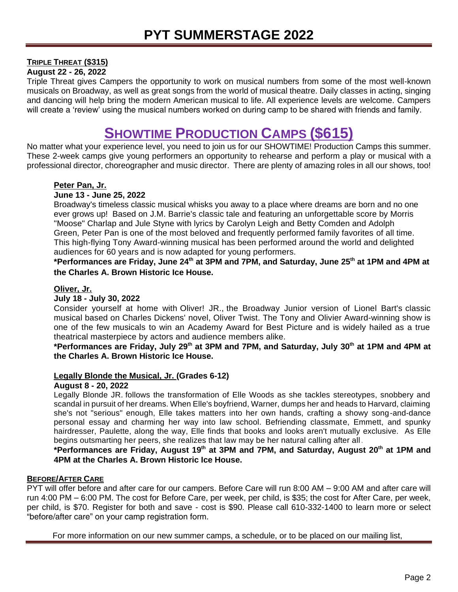# **TRIPLE THREAT (\$315)**

**August 22 - 26, 2022**

Triple Threat gives Campers the opportunity to work on musical numbers from some of the most well-known musicals on Broadway, as well as great songs from the world of musical theatre. Daily classes in acting, singing and dancing will help bring the modern American musical to life. All experience levels are welcome. Campers will create a 'review' using the musical numbers worked on during camp to be shared with friends and family.

# **SHOWTIME PRODUCTION CAMPS (\$615)**

No matter what your experience level, you need to join us for our SHOWTIME! Production Camps this summer. These 2-week camps give young performers an opportunity to rehearse and perform a play or musical with a professional director, choreographer and music director. There are plenty of amazing roles in all our shows, too!

# *Peter Pan, Jr.*

### **June 13 - June 25, 2022**

Broadway's timeless classic musical whisks you away to a place where dreams are born and no one ever grows up! Based on J.M. Barrie's classic tale and featuring an unforgettable score by Morris "Moose" Charlap and Jule Styne with lyrics by Carolyn Leigh and Betty Comden and Adolph Green, *Peter Pan* is one of the most beloved and frequently performed family favorites of all time. This high-flying Tony Award-winning musical has been performed around the world and delighted audiences for 60 years and is now adapted for young performers.

**\*Performances are Friday, June 24 th at 3PM and 7PM, and Saturday, June 25 th at 1PM and 4PM at the Charles A. Brown Historic Ice House.**

### *Oliver, Jr.*

### **July 18 - July 30, 2022**

Consider yourself at home with *Oliver! JR.,* the Broadway Junior version of Lionel Bart's classic musical based on Charles Dickens' novel, *Oliver Twist*. The Tony and Olivier Award-winning show is one of the few musicals to win an Academy Award for Best Picture and is widely hailed as a true theatrical masterpiece by actors and audience members alike.

**\*Performances are Friday, July 29th at 3PM and 7PM, and Saturday, July 30 th at 1PM and 4PM at the Charles A. Brown Historic Ice House.**

#### *Legally Blonde the Musical, Jr.* **(Grades 6-12)**

#### **August 8 - 20, 2022**

*Legally Blonde JR.* follows the transformation of Elle Woods as she tackles stereotypes, snobbery and scandal in pursuit of her dreams. When Elle's boyfriend, Warner, dumps her and heads to Harvard, claiming she's not "serious" enough, Elle takes matters into her own hands, crafting a showy song-and-dance personal essay and charming her way into law school. Befriending classmate, Emmett, and spunky hairdresser, Paulette, along the way, Elle finds that books and looks aren't mutually exclusive. As Elle begins outsmarting her peers, she realizes that law may be her natural calling after all.

# **\*Performances are Friday, August 19 th at 3PM and 7PM, and Saturday, August 20th at 1PM and 4PM at the Charles A. Brown Historic Ice House.**

#### **BEFORE/AFTER CARE**

PYT will offer before and after care for our campers. Before Care will run 8:00 AM – 9:00 AM and after care will run 4:00 PM – 6:00 PM. The cost for Before Care, per week, per child, is \$35; the cost for After Care, per week, per child, is \$70. Register for both and save - cost is \$90. Please call 610-332-1400 to learn more or select "before/after care" on your camp registration form.

*For more information on our new summer camps, a schedule, or to be placed on our mailing list,*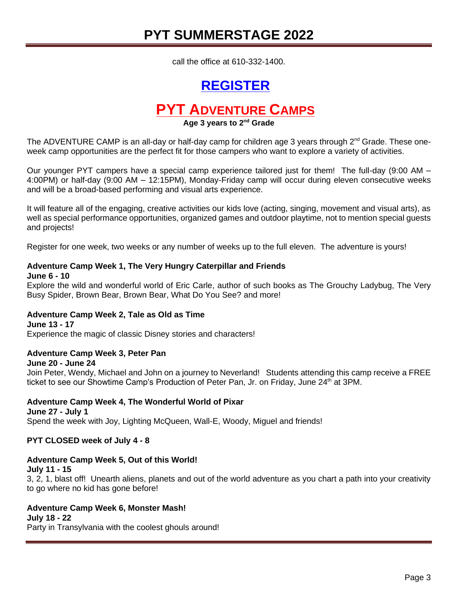# **PYT SUMMERSTAGE 2022**

*call the office at 610-332-1400.*

# **[REGISTER](https://forms.gle/i34FF63EhEpApg538)**

# **PYT ADVENTURE CAMPS**

#### **Age 3 years to 2nd Grade**

The [ADVENTURE CAMP](http://www.123pyt.org/SummerStage/camps.aspx) is an all-day or half-day camp for children age 3 years through  $2<sup>nd</sup>$  Grade. These oneweek camp opportunities are the perfect fit for those campers who want to explore a variety of activities.

Our younger PYT campers have a special camp experience tailored just for them! The full-day (9:00 AM – 4:00PM) or half-day (9:00 AM – 12:15PM), Monday-Friday camp will occur during eleven consecutive weeks and will be a broad-based performing and visual arts experience.

It will feature all of the engaging, creative activities our kids love (acting, singing, movement and visual arts), as well as special performance opportunities, organized games and outdoor playtime, not to mention special guests and projects!

Register for one week, two weeks or any number of weeks up to the full eleven. The adventure is yours!

#### **Adventure Camp Week 1,** *The Very Hungry Caterpillar and Friends*

#### **June 6 - 10**

Explore the wild and wonderful world of Eric Carle, author of such books as *The Grouchy Ladybug, The Very Busy Spider*, *Brown Bear, Brown Bear, What Do You See?* and more!

#### **Adventure Camp Week 2,** *Tale as Old as Time*

#### **June 13 - 17** Experience the magic of classic Disney stories and characters!

# **Adventure Camp Week 3,** *Peter Pan*

#### **June 20 - June 24**

Join Peter, Wendy, Michael and John on a journey to Neverland! Students attending this camp receive a FREE ticket to see our Showtime Camp's Production of Peter Pan, Jr. on Friday, June 24<sup>th</sup> at 3PM.

#### **Adventure Camp Week 4,** *The Wonderful World of Pixar*

**June 27 - July 1** Spend the week with Joy, Lighting McQueen, Wall-E, Woody, Miguel and friends!

#### **PYT CLOSED week of July 4 - 8**

#### **Adventure Camp Week 5,** *Out of this World!*

**July 11 - 15**

3, 2, 1, blast off! Unearth aliens, planets and out of the world adventure as you chart a path into your creativity to go where no kid has gone before!

# **Adventure Camp Week 6,** *Monster Mash!*

#### **July 18 - 22**

Party in Transylvania with the coolest ghouls around!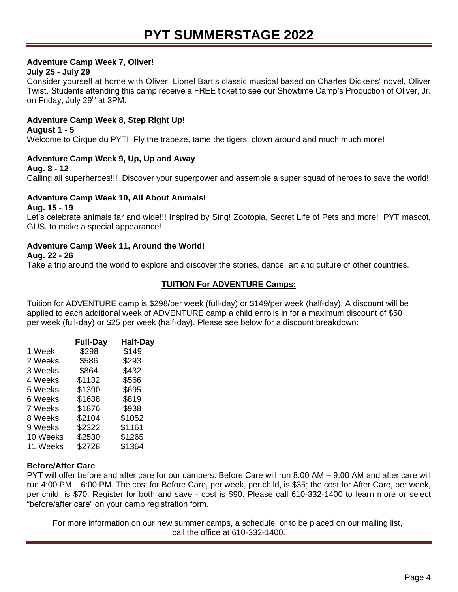# **Adventure Camp Week 7,** *Oliver!*

# **July 25 - July 29**

Consider yourself at home with *Oliver!* Lionel Bart's classic musical based on Charles Dickens' novel, *Oliver Twist*. Students attending this camp receive a FREE ticket to see our Showtime Camp's Production of *Oliver, Jr.*  on Friday, July 29<sup>th</sup> at 3PM.

# **Adventure Camp Week 8,** *Step Right Up!*

#### **August 1 - 5**

Welcome to Cirque du PYT! Fly the trapeze, tame the tigers, clown around and much much more!

# **Adventure Camp Week 9,** *Up, Up and Away*

**Aug. 8 - 12**

Calling all superheroes!!! Discover your superpower and assemble a super squad of heroes to save the world!

# **Adventure Camp Week 10,** *All About Animals!*

#### **Aug. 15 - 19**

Let's celebrate animals far and wide!!! Inspired by *Sing! Zootopia, Secret Life of Pets* and more! PYT mascot, GUS, to make a special appearance!

# **Adventure Camp Week 11,** *Around the World!*

#### **Aug. 22 - 26**

Take a trip around the world to explore and discover the stories, dance, art and culture of other countries.

# **TUITION For ADVENTURE Camps:**

Tuition for ADVENTURE camp is \$298/per week (full-day) or \$149/per week (half-day). A discount will be applied to each additional week of ADVENTURE camp a child enrolls in for a maximum discount of \$50 per week (full-day) or \$25 per week (half-day). Please see below for a discount breakdown:

|          | <b>Full-Day</b> | <b>Half-Day</b> |
|----------|-----------------|-----------------|
| 1 Week   | \$298           | \$149           |
| 2 Weeks  | \$586           | \$293           |
| 3 Weeks  | \$864           | \$432           |
| 4 Weeks  | \$1132          | \$566           |
| 5 Weeks  | \$1390          | \$695           |
| 6 Weeks  | \$1638          | \$819           |
| 7 Weeks  | \$1876          | \$938           |
| 8 Weeks  | \$2104          | \$1052          |
| 9 Weeks  | \$2322          | \$1161          |
| 10 Weeks | \$2530          | \$1265          |
| 11 Weeks | \$2728          | \$1364          |
|          |                 |                 |

# **Before/After Care**

PYT will offer before and after care for our campers. Before Care will run 8:00 AM – 9:00 AM and after care will run 4:00 PM – 6:00 PM. The cost for Before Care, per week, per child, is \$35; the cost for After Care, per week, per child, is \$70. Register for both and save - cost is \$90. Please call 610-332-1400 to learn more or select "before/after care" on your camp registration form.

*For more information on our new summer camps, a schedule, or to be placed on our mailing list, call the office at 610-332-1400.*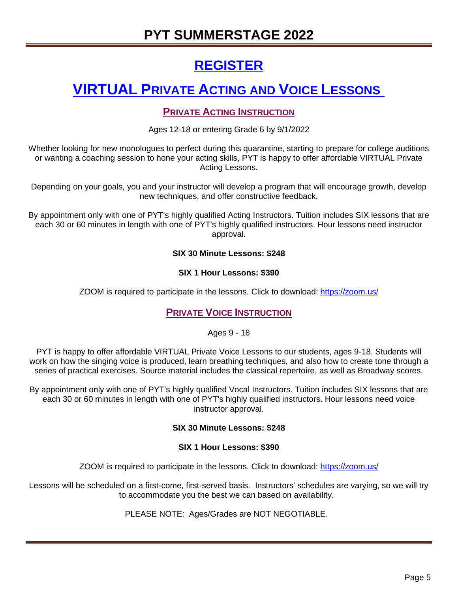# **PYT SUMMERSTAGE 2022**

# **[REGISTER](https://forms.gle/i34FF63EhEpApg538)**

# **VIRTUAL PRIVATE ACTING AND VOICE LESSONS**

# **PRIVATE ACTING INSTRUCTION**

Ages 12-18 or entering Grade 6 by 9/1/2022

Whether looking for new monologues to perfect during this quarantine, starting to prepare for college auditions or wanting a coaching session to hone your acting skills, PYT is happy to offer affordable VIRTUAL Private Acting Lessons.

Depending on your goals, you and your instructor will develop a program that will encourage growth, develop new techniques, and offer constructive feedback.

By appointment only with one of PYT's highly qualified Acting Instructors. Tuition includes SIX lessons that are each 30 or 60 minutes in length with one of PYT's highly qualified instructors. Hour lessons need instructor approval.

# **SIX 30 Minute Lessons: \$248**

# **SIX 1 Hour Lessons: \$390**

ZOOM is required to participate in the lessons. Click to download: <https://zoom.us/>

# **PRIVATE VOICE INSTRUCTION**

Ages 9 - 18

PYT is happy to offer affordable VIRTUAL Private Voice Lessons to our students, ages 9-18. Students will work on how the singing voice is produced, learn breathing techniques, and also how to create tone through a series of practical exercises. Source material includes the classical repertoire, as well as Broadway scores.

By appointment only with one of PYT's highly qualified Vocal Instructors. Tuition includes SIX lessons that are each 30 or 60 minutes in length with one of PYT's highly qualified instructors. Hour lessons need voice instructor approval.

# **SIX 30 Minute Lessons: \$248**

# **SIX 1 Hour Lessons: \$390**

ZOOM is required to participate in the lessons. Click to download: <https://zoom.us/>

Lessons will be scheduled on a first-come, first-served basis. Instructors' schedules are varying, so we will try to accommodate you the best we can based on availability.

PLEASE NOTE: Ages/Grades are NOT NEGOTIABLE.